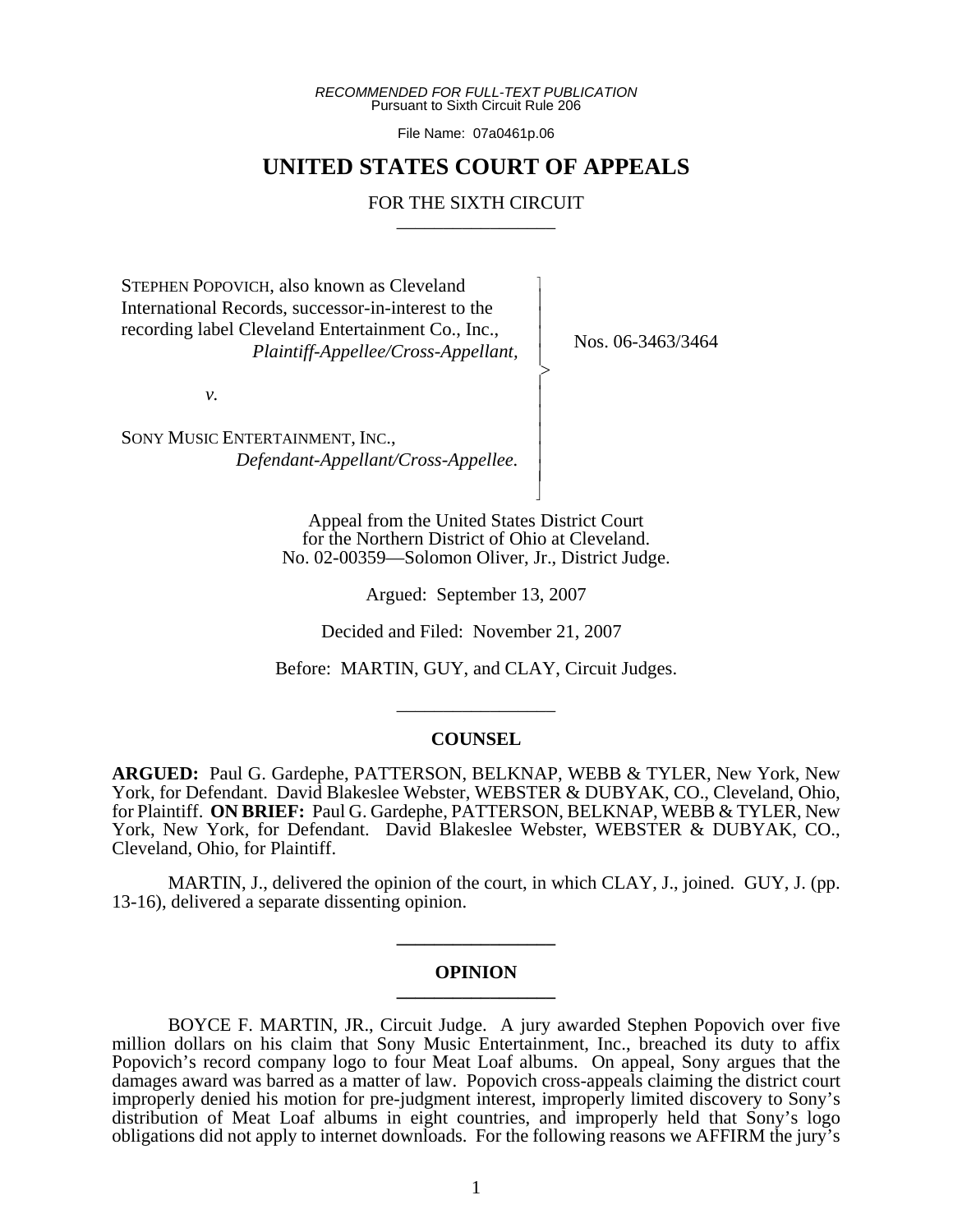*RECOMMENDED FOR FULL-TEXT PUBLICATION* Pursuant to Sixth Circuit Rule 206

File Name: 07a0461p.06

# **UNITED STATES COURT OF APPEALS**

# FOR THE SIXTH CIRCUIT

 $\overline{\phantom{a}}$ - - - -  $\succ$ |<br>|<br>| - - - - - N

STEPHEN POPOVICH, also known as Cleveland International Records, successor-in-interest to the recording label Cleveland Entertainment Co., Inc.,  *Plaintiff-Appellee/Cross-Appellant,*

*v.*

SONY MUSIC ENTERTAINMENT, INC., *Defendant-Appellant/Cross-Appellee.* Nos. 06-3463/3464

Appeal from the United States District Court for the Northern District of Ohio at Cleveland. No. 02-00359—Solomon Oliver, Jr., District Judge.

Argued: September 13, 2007

Decided and Filed: November 21, 2007

Before: MARTIN, GUY, and CLAY, Circuit Judges.

\_\_\_\_\_\_\_\_\_\_\_\_\_\_\_\_\_

#### **COUNSEL**

**ARGUED:** Paul G. Gardephe, PATTERSON, BELKNAP, WEBB & TYLER, New York, New York, for Defendant. David Blakeslee Webster, WEBSTER & DUBYAK, CO., Cleveland, Ohio, for Plaintiff. **ON BRIEF:** Paul G. Gardephe, PATTERSON, BELKNAP, WEBB & TYLER, New York, New York, for Defendant. David Blakeslee Webster, WEBSTER & DUBYAK, CO., Cleveland, Ohio, for Plaintiff.

MARTIN, J., delivered the opinion of the court, in which CLAY, J., joined. GUY, J. (pp. 13-16), delivered a separate dissenting opinion.

#### **OPINION \_\_\_\_\_\_\_\_\_\_\_\_\_\_\_\_\_**

**\_\_\_\_\_\_\_\_\_\_\_\_\_\_\_\_\_**

BOYCE F. MARTIN, JR., Circuit Judge. A jury awarded Stephen Popovich over five million dollars on his claim that Sony Music Entertainment, Inc., breached its duty to affix Popovich's record company logo to four Meat Loaf albums. On appeal, Sony argues that the damages award was barred as a matter of law. Popovich cross-appeals claiming the district court improperly denied his motion for pre-judgment interest, improperly limited discovery to Sony's distribution of Meat Loaf albums in eight countries, and improperly held that Sony's logo obligations did not apply to internet downloads. For the following reasons we AFFIRM the jury's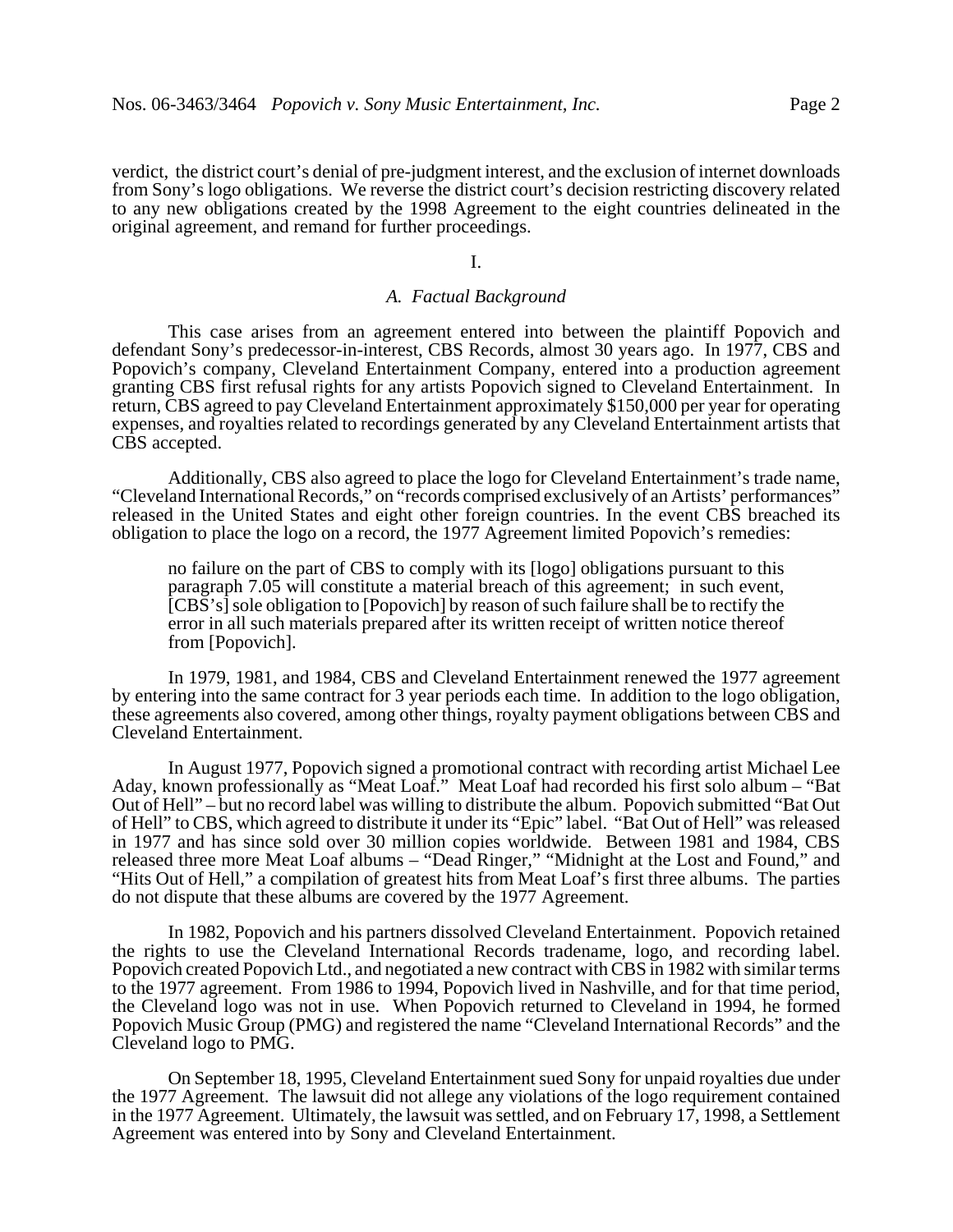verdict, the district court's denial of pre-judgment interest, and the exclusion of internet downloads from Sony's logo obligations. We reverse the district court's decision restricting discovery related to any new obligations created by the 1998 Agreement to the eight countries delineated in the original agreement, and remand for further proceedings.

### I.

### *A. Factual Background*

This case arises from an agreement entered into between the plaintiff Popovich and defendant Sony's predecessor-in-interest, CBS Records, almost 30 years ago. In 1977, CBS and Popovich's company, Cleveland Entertainment Company, entered into a production agreement granting CBS first refusal rights for any artists Popovich signed to Cleveland Entertainment. In return, CBS agreed to pay Cleveland Entertainment approximately \$150,000 per year for operating expenses, and royalties related to recordings generated by any Cleveland Entertainment artists that CBS accepted.

Additionally, CBS also agreed to place the logo for Cleveland Entertainment's trade name, "Cleveland International Records," on "records comprised exclusively of an Artists' performances" released in the United States and eight other foreign countries. In the event CBS breached its obligation to place the logo on a record, the 1977 Agreement limited Popovich's remedies:

no failure on the part of CBS to comply with its [logo] obligations pursuant to this paragraph 7.05 will constitute a material breach of this agreement; in such event, [CBS's] sole obligation to [Popovich] by reason of such failure shall be to rectify the error in all such materials prepared after its written receipt of written notice thereof from [Popovich].

In 1979, 1981, and 1984, CBS and Cleveland Entertainment renewed the 1977 agreement by entering into the same contract for 3 year periods each time. In addition to the logo obligation, these agreements also covered, among other things, royalty payment obligations between CBS and Cleveland Entertainment.

In August 1977, Popovich signed a promotional contract with recording artist Michael Lee Aday, known professionally as "Meat Loaf." Meat Loaf had recorded his first solo album – "Bat Out of Hell" – but no record label was willing to distribute the album. Popovich submitted "Bat Out of Hell" to CBS, which agreed to distribute it under its "Epic" label. "Bat Out of Hell" was released in 1977 and has since sold over 30 million copies worldwide. Between 1981 and 1984, CBS released three more Meat Loaf albums – "Dead Ringer," "Midnight at the Lost and Found," and "Hits Out of Hell," a compilation of greatest hits from Meat Loaf's first three albums. The parties do not dispute that these albums are covered by the 1977 Agreement.

In 1982, Popovich and his partners dissolved Cleveland Entertainment. Popovich retained the rights to use the Cleveland International Records tradename, logo, and recording label. Popovich created Popovich Ltd., and negotiated a new contract with CBS in 1982 with similar terms to the 1977 agreement. From 1986 to 1994, Popovich lived in Nashville, and for that time period, the Cleveland logo was not in use. When Popovich returned to Cleveland in 1994, he formed Popovich Music Group (PMG) and registered the name "Cleveland International Records" and the Cleveland logo to PMG.

On September 18, 1995, Cleveland Entertainment sued Sony for unpaid royalties due under the 1977 Agreement. The lawsuit did not allege any violations of the logo requirement contained in the 1977 Agreement. Ultimately, the lawsuit was settled, and on February 17, 1998, a Settlement Agreement was entered into by Sony and Cleveland Entertainment.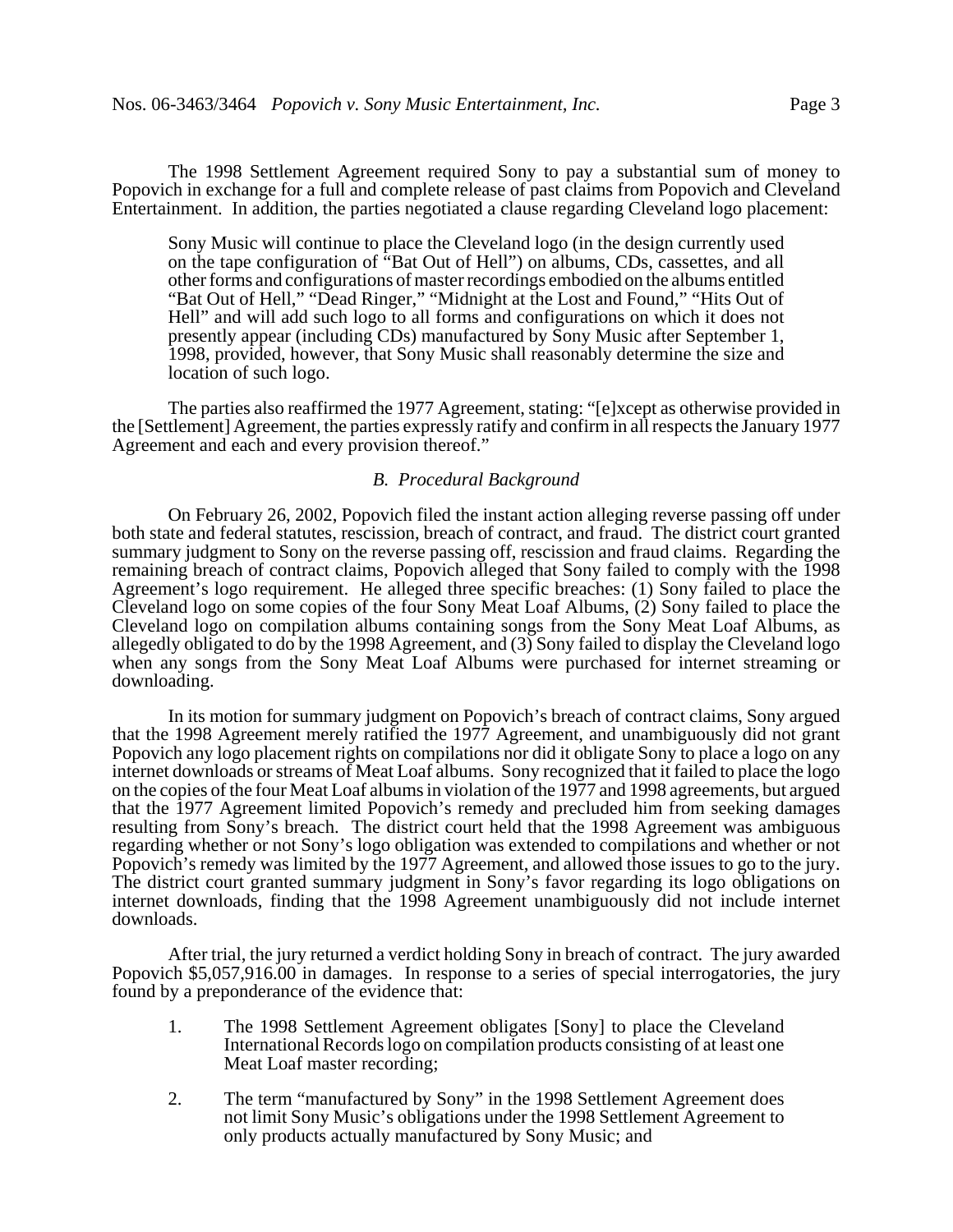The 1998 Settlement Agreement required Sony to pay a substantial sum of money to Popovich in exchange for a full and complete release of past claims from Popovich and Cleveland Entertainment. In addition, the parties negotiated a clause regarding Cleveland logo placement:

Sony Music will continue to place the Cleveland logo (in the design currently used on the tape configuration of "Bat Out of Hell") on albums, CDs, cassettes, and all other forms and configurations of master recordings embodied on the albums entitled "Bat Out of Hell," "Dead Ringer," "Midnight at the Lost and Found," "Hits Out of Hell" and will add such logo to all forms and configurations on which it does not presently appear (including CDs) manufactured by Sony Music after September 1, 1998, provided, however, that Sony Music shall reasonably determine the size and location of such logo.

The parties also reaffirmed the 1977 Agreement, stating: "[e]xcept as otherwise provided in the [Settlement] Agreement, the parties expressly ratify and confirm in all respects the January 1977 Agreement and each and every provision thereof."

# *B. Procedural Background*

On February 26, 2002, Popovich filed the instant action alleging reverse passing off under both state and federal statutes, rescission, breach of contract, and fraud. The district court granted summary judgment to Sony on the reverse passing off, rescission and fraud claims. Regarding the remaining breach of contract claims, Popovich alleged that Sony failed to comply with the 1998 Agreement's logo requirement. He alleged three specific breaches: (1) Sony failed to place the Cleveland logo on some copies of the four Sony Meat Loaf Albums, (2) Sony failed to place the Cleveland logo on compilation albums containing songs from the Sony Meat Loaf Albums, as allegedly obligated to do by the 1998 Agreement, and (3) Sony failed to display the Cleveland logo when any songs from the Sony Meat Loaf Albums were purchased for internet streaming or downloading.

In its motion for summary judgment on Popovich's breach of contract claims, Sony argued that the 1998 Agreement merely ratified the 1977 Agreement, and unambiguously did not grant Popovich any logo placement rights on compilations nor did it obligate Sony to place a logo on any internet downloads or streams of Meat Loaf albums. Sony recognized that it failed to place the logo on the copies of the four Meat Loaf albums in violation of the 1977 and 1998 agreements, but argued that the 1977 Agreement limited Popovich's remedy and precluded him from seeking damages resulting from Sony's breach. The district court held that the 1998 Agreement was ambiguous regarding whether or not Sony's logo obligation was extended to compilations and whether or not Popovich's remedy was limited by the 1977 Agreement, and allowed those issues to go to the jury. The district court granted summary judgment in Sony's favor regarding its logo obligations on internet downloads, finding that the 1998 Agreement unambiguously did not include internet downloads.

After trial, the jury returned a verdict holding Sony in breach of contract. The jury awarded Popovich \$5,057,916.00 in damages. In response to a series of special interrogatories, the jury found by a preponderance of the evidence that:

- 1. The 1998 Settlement Agreement obligates [Sony] to place the Cleveland International Records logo on compilation products consisting of at least one Meat Loaf master recording;
- 2. The term "manufactured by Sony" in the 1998 Settlement Agreement does not limit Sony Music's obligations under the 1998 Settlement Agreement to only products actually manufactured by Sony Music; and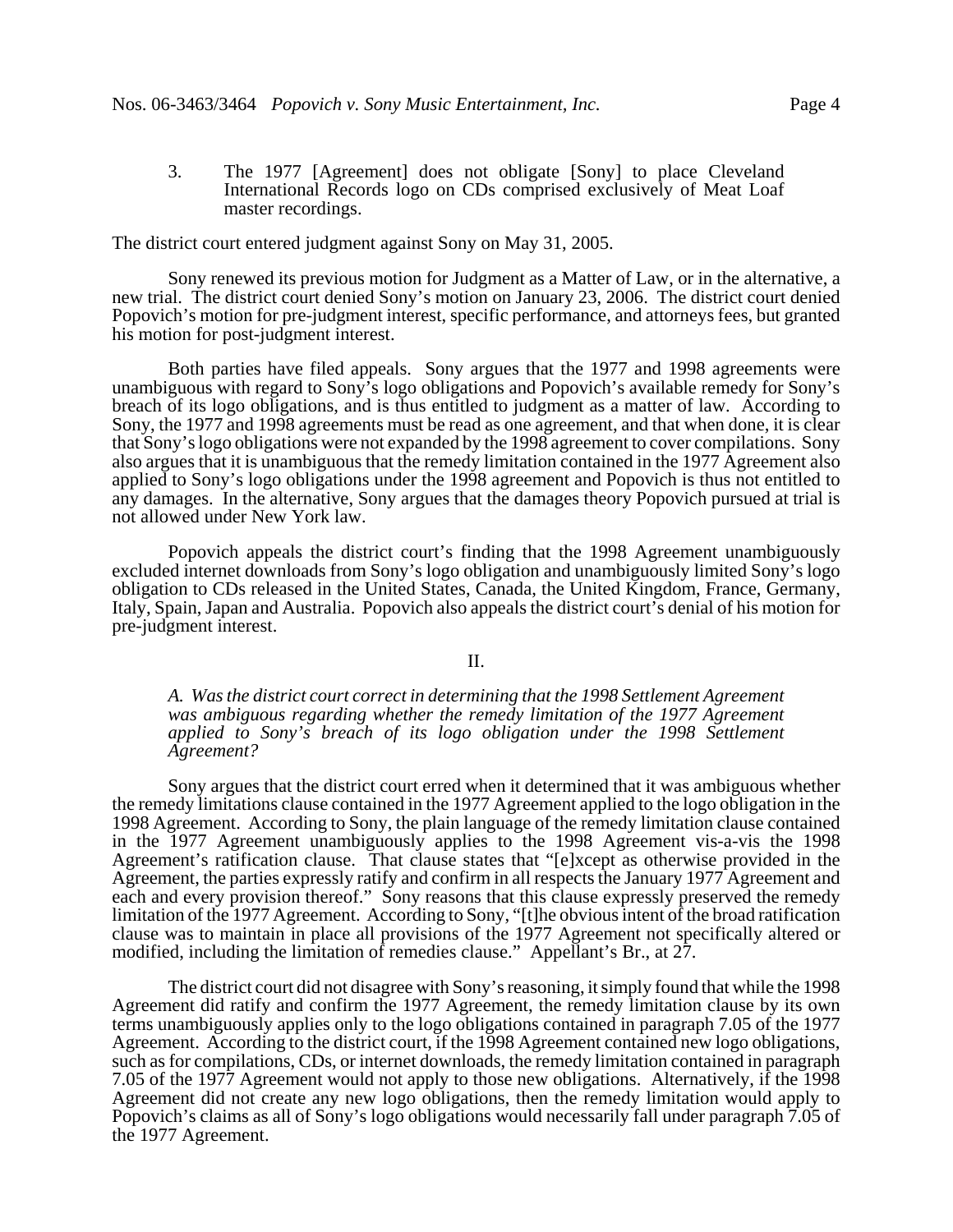3. The 1977 [Agreement] does not obligate [Sony] to place Cleveland International Records logo on CDs comprised exclusively of Meat Loaf master recordings.

The district court entered judgment against Sony on May 31, 2005.

Sony renewed its previous motion for Judgment as a Matter of Law, or in the alternative, a new trial. The district court denied Sony's motion on January 23, 2006. The district court denied Popovich's motion for pre-judgment interest, specific performance, and attorneys fees, but granted his motion for post-judgment interest.

Both parties have filed appeals. Sony argues that the 1977 and 1998 agreements were unambiguous with regard to Sony's logo obligations and Popovich's available remedy for Sony's breach of its logo obligations, and is thus entitled to judgment as a matter of law. According to Sony, the 1977 and 1998 agreements must be read as one agreement, and that when done, it is clear that Sony's logo obligations were not expanded by the 1998 agreement to cover compilations. Sony also argues that it is unambiguous that the remedy limitation contained in the 1977 Agreement also applied to Sony's logo obligations under the 1998 agreement and Popovich is thus not entitled to any damages. In the alternative, Sony argues that the damages theory Popovich pursued at trial is not allowed under New York law.

Popovich appeals the district court's finding that the 1998 Agreement unambiguously excluded internet downloads from Sony's logo obligation and unambiguously limited Sony's logo obligation to CDs released in the United States, Canada, the United Kingdom, France, Germany, Italy, Spain, Japan and Australia. Popovich also appeals the district court's denial of his motion for pre-judgment interest.

### II.

*A. Was the district court correct in determining that the 1998 Settlement Agreement was ambiguous regarding whether the remedy limitation of the 1977 Agreement applied to Sony's breach of its logo obligation under the 1998 Settlement Agreement?*

Sony argues that the district court erred when it determined that it was ambiguous whether the remedy limitations clause contained in the 1977 Agreement applied to the logo obligation in the 1998 Agreement. According to Sony, the plain language of the remedy limitation clause contained in the 1977 Agreement unambiguously applies to the 1998 Agreement vis-a-vis the 1998 Agreement's ratification clause. That clause states that "[e]xcept as otherwise provided in the Agreement, the parties expressly ratify and confirm in all respects the January 1977 Agreement and each and every provision thereof." Sony reasons that this clause expressly preserved the remedy limitation of the 1977 Agreement. According to Sony, "[t]he obvious intent of the broad ratification clause was to maintain in place all provisions of the 1977 Agreement not specifically altered or modified, including the limitation of remedies clause." Appellant's Br., at 27.

The district court did not disagree with Sony's reasoning, it simply found that while the 1998 Agreement did ratify and confirm the 1977 Agreement, the remedy limitation clause by its own terms unambiguously applies only to the logo obligations contained in paragraph 7.05 of the 1977 Agreement. According to the district court, if the 1998 Agreement contained new logo obligations, such as for compilations, CDs, or internet downloads, the remedy limitation contained in paragraph 7.05 of the 1977 Agreement would not apply to those new obligations. Alternatively, if the 1998 Agreement did not create any new logo obligations, then the remedy limitation would apply to Popovich's claims as all of Sony's logo obligations would necessarily fall under paragraph 7.05 of the 1977 Agreement.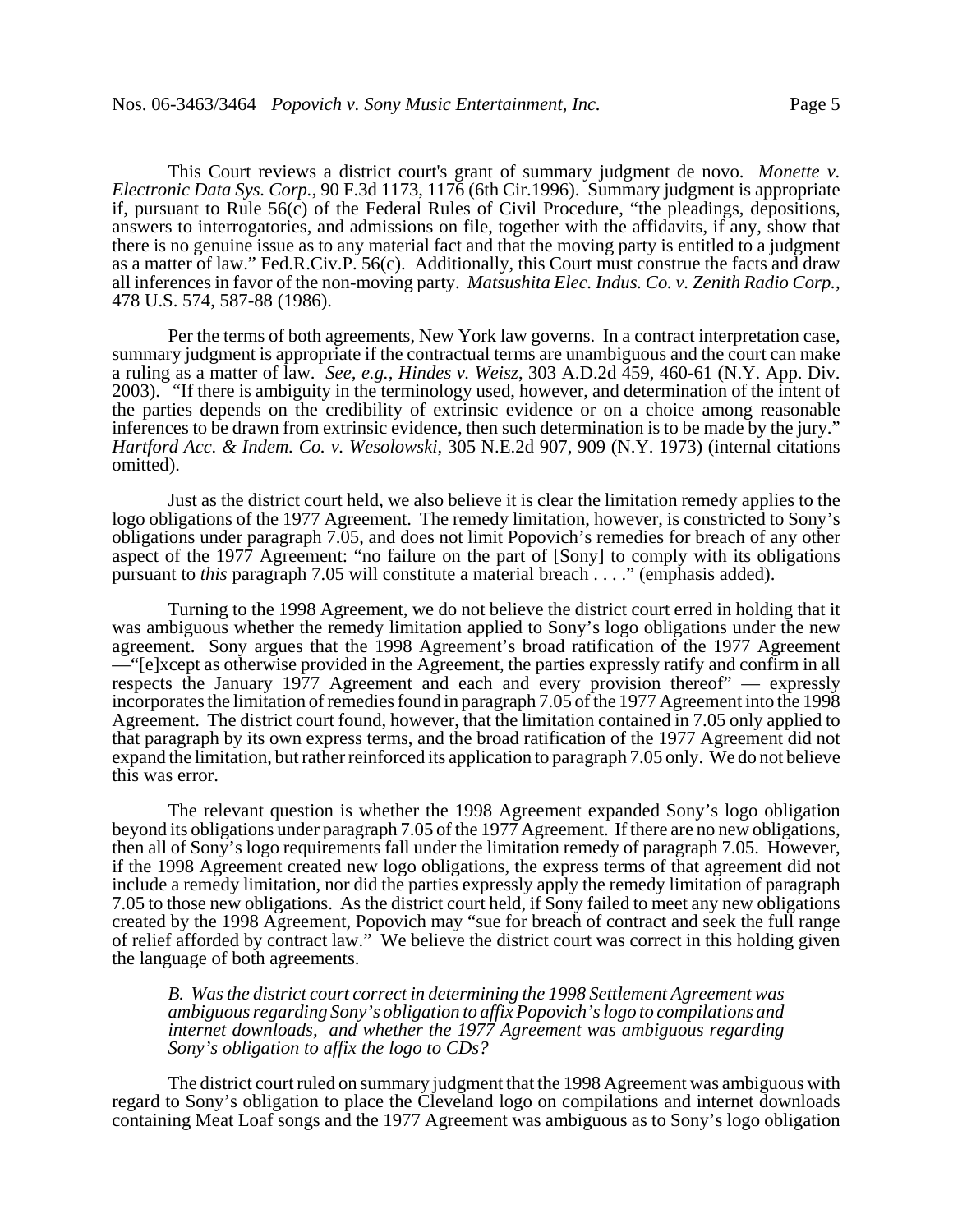This Court reviews a district court's grant of summary judgment de novo. *Monette v. Electronic Data Sys. Corp.*, 90 F.3d 1173, 1176 (6th Cir.1996). Summary judgment is appropriate if, pursuant to Rule 56(c) of the Federal Rules of Civil Procedure, "the pleadings, depositions, answers to interrogatories, and admissions on file, together with the affidavits, if any, show that there is no genuine issue as to any material fact and that the moving party is entitled to a judgment as a matter of law." Fed.R.Civ.P. 56(c). Additionally, this Court must construe the facts and draw all inferences in favor of the non-moving party. *Matsushita Elec. Indus. Co. v. Zenith Radio Corp.*, 478 U.S. 574, 587-88 (1986).

Per the terms of both agreements, New York law governs. In a contract interpretation case, summary judgment is appropriate if the contractual terms are unambiguous and the court can make a ruling as a matter of law. *See, e.g., Hindes v. Weisz*, 303 A.D.2d 459, 460-61 (N.Y. App. Div. 2003). "If there is ambiguity in the terminology used, however, and determination of the intent of the parties depends on the credibility of extrinsic evidence or on a choice among reasonable inferences to be drawn from extrinsic evidence, then such determination is to be made by the jury." *Hartford Acc. & Indem. Co. v. Wesolowski*, 305 N.E.2d 907, 909 (N.Y. 1973) (internal citations omitted).

Just as the district court held, we also believe it is clear the limitation remedy applies to the logo obligations of the 1977 Agreement. The remedy limitation, however, is constricted to Sony's obligations under paragraph 7.05, and does not limit Popovich's remedies for breach of any other aspect of the 1977 Agreement: "no failure on the part of [Sony] to comply with its obligations pursuant to *this* paragraph 7.05 will constitute a material breach . . . ." (emphasis added).

Turning to the 1998 Agreement, we do not believe the district court erred in holding that it was ambiguous whether the remedy limitation applied to Sony's logo obligations under the new agreement. Sony argues that the 1998 Agreement's broad ratification of the 1977 Agreement —"[e]xcept as otherwise provided in the Agreement, the parties expressly ratify and confirm in all respects the January 1977 Agreement and each and every provision thereof" — expressly incorporates the limitation of remedies found in paragraph 7.05 of the 1977 Agreement into the 1998 Agreement. The district court found, however, that the limitation contained in 7.05 only applied to that paragraph by its own express terms, and the broad ratification of the 1977 Agreement did not expand the limitation, but rather reinforced its application to paragraph 7.05 only. We do not believe this was error.

The relevant question is whether the 1998 Agreement expanded Sony's logo obligation beyond its obligations under paragraph 7.05 of the 1977 Agreement. If there are no new obligations, then all of Sony's logo requirements fall under the limitation remedy of paragraph 7.05. However, if the 1998 Agreement created new logo obligations, the express terms of that agreement did not include a remedy limitation, nor did the parties expressly apply the remedy limitation of paragraph 7.05 to those new obligations. As the district court held, if Sony failed to meet any new obligations created by the 1998 Agreement, Popovich may "sue for breach of contract and seek the full range of relief afforded by contract law." We believe the district court was correct in this holding given the language of both agreements.

*B. Was the district court correct in determining the 1998 Settlement Agreement was ambiguous regarding Sony's obligation to affix Popovich's logo to compilations and internet downloads, and whether the 1977 Agreement was ambiguous regarding Sony's obligation to affix the logo to CDs?*

The district court ruled on summary judgment that the 1998 Agreement was ambiguous with regard to Sony's obligation to place the Cleveland logo on compilations and internet downloads containing Meat Loaf songs and the 1977 Agreement was ambiguous as to Sony's logo obligation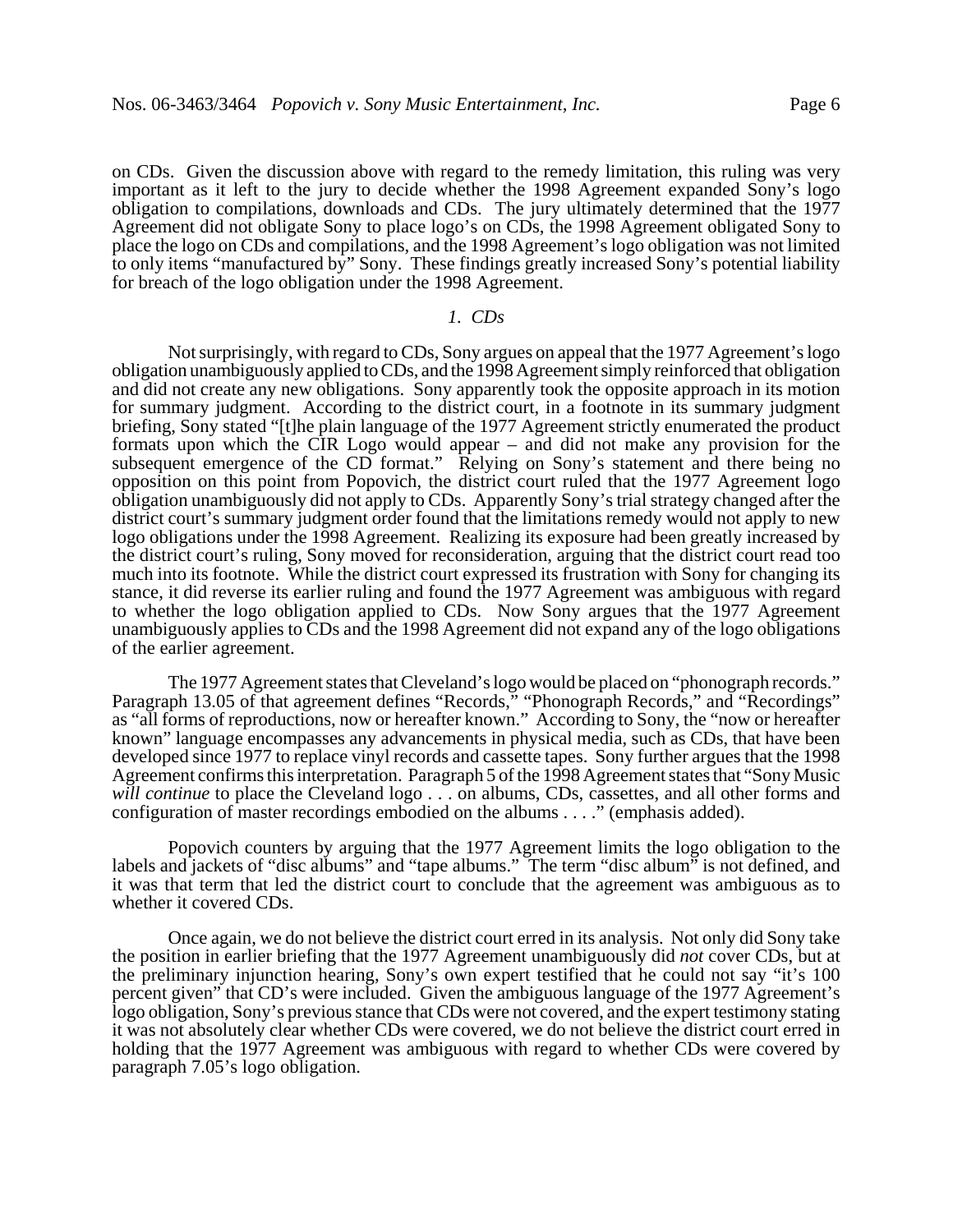on CDs. Given the discussion above with regard to the remedy limitation, this ruling was very important as it left to the jury to decide whether the 1998 Agreement expanded Sony's logo obligation to compilations, downloads and CDs. The jury ultimately determined that the 1977 Agreement did not obligate Sony to place logo's on CDs, the 1998 Agreement obligated Sony to place the logo on CDs and compilations, and the 1998 Agreement's logo obligation was not limited to only items "manufactured by" Sony. These findings greatly increased Sony's potential liability for breach of the logo obligation under the 1998 Agreement.

### *1. CDs*

Not surprisingly, with regard to CDs, Sony argues on appeal that the 1977 Agreement's logo obligation unambiguously applied to CDs, and the 1998 Agreement simply reinforced that obligation and did not create any new obligations. Sony apparently took the opposite approach in its motion for summary judgment. According to the district court, in a footnote in its summary judgment briefing, Sony stated "[t]he plain language of the 1977 Agreement strictly enumerated the product formats upon which the CIR Logo would appear – and did not make any provision for the subsequent emergence of the CD format." Relying on Sony's statement and there being no opposition on this point from Popovich, the district court ruled that the 1977 Agreement logo obligation unambiguously did not apply to CDs. Apparently Sony's trial strategy changed after the district court's summary judgment order found that the limitations remedy would not apply to new logo obligations under the 1998 Agreement. Realizing its exposure had been greatly increased by the district court's ruling, Sony moved for reconsideration, arguing that the district court read too much into its footnote. While the district court expressed its frustration with Sony for changing its stance, it did reverse its earlier ruling and found the 1977 Agreement was ambiguous with regard to whether the logo obligation applied to CDs. Now Sony argues that the 1977 Agreement unambiguously applies to CDs and the 1998 Agreement did not expand any of the logo obligations of the earlier agreement.

The 1977 Agreement states that Cleveland's logo would be placed on "phonograph records." Paragraph 13.05 of that agreement defines "Records," "Phonograph Records," and "Recordings" as "all forms of reproductions, now or hereafter known." According to Sony, the "now or hereafter known" language encompasses any advancements in physical media, such as CDs, that have been developed since 1977 to replace vinyl records and cassette tapes. Sony further argues that the 1998 Agreement confirms this interpretation. Paragraph 5 of the 1998 Agreement states that "Sony Music *will continue* to place the Cleveland logo . . . on albums, CDs, cassettes, and all other forms and configuration of master recordings embodied on the albums . . . ." (emphasis added).

Popovich counters by arguing that the 1977 Agreement limits the logo obligation to the labels and jackets of "disc albums" and "tape albums." The term "disc album" is not defined, and it was that term that led the district court to conclude that the agreement was ambiguous as to whether it covered CDs.

Once again, we do not believe the district court erred in its analysis. Not only did Sony take the position in earlier briefing that the 1977 Agreement unambiguously did *not* cover CDs, but at the preliminary injunction hearing, Sony's own expert testified that he could not say "it's 100 percent given" that CD's were included. Given the ambiguous language of the 1977 Agreement's logo obligation, Sony's previous stance that CDs were not covered, and the expert testimony stating it was not absolutely clear whether CDs were covered, we do not believe the district court erred in holding that the 1977 Agreement was ambiguous with regard to whether CDs were covered by paragraph 7.05's logo obligation.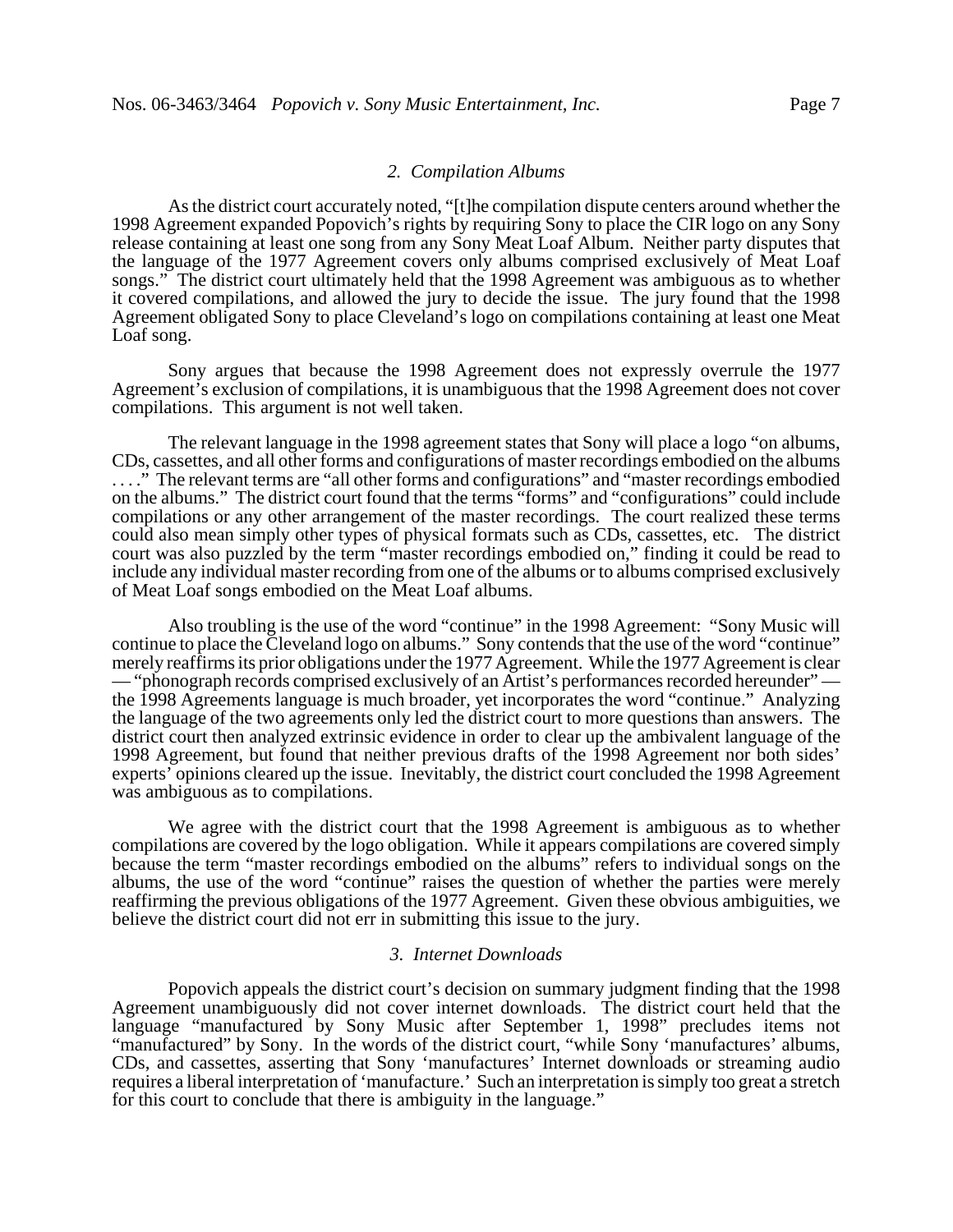### *2. Compilation Albums*

As the district court accurately noted, "[t]he compilation dispute centers around whether the 1998 Agreement expanded Popovich's rights by requiring Sony to place the CIR logo on any Sony release containing at least one song from any Sony Meat Loaf Album. Neither party disputes that the language of the 1977 Agreement covers only albums comprised exclusively of Meat Loaf songs." The district court ultimately held that the 1998 Agreement was ambiguous as to whether it covered compilations, and allowed the jury to decide the issue. The jury found that the 1998 Agreement obligated Sony to place Cleveland's logo on compilations containing at least one Meat Loaf song.

Sony argues that because the 1998 Agreement does not expressly overrule the 1977 Agreement's exclusion of compilations, it is unambiguous that the 1998 Agreement does not cover compilations. This argument is not well taken.

The relevant language in the 1998 agreement states that Sony will place a logo "on albums, CDs, cassettes, and all other forms and configurations of master recordings embodied on the albums . . . ." The relevant terms are "all other forms and configurations" and "master recordings embodied on the albums." The district court found that the terms "forms" and "configurations" could include compilations or any other arrangement of the master recordings. The court realized these terms could also mean simply other types of physical formats such as CDs, cassettes, etc. The district court was also puzzled by the term "master recordings embodied on," finding it could be read to include any individual master recording from one of the albums or to albums comprised exclusively of Meat Loaf songs embodied on the Meat Loaf albums.

Also troubling is the use of the word "continue" in the 1998 Agreement: "Sony Music will continue to place the Cleveland logo on albums." Sony contends that the use of the word "continue" merely reaffirms its prior obligations under the 1977 Agreement. While the 1977 Agreement is clear — "phonograph records comprised exclusively of an Artist's performances recorded hereunder" the 1998 Agreements language is much broader, yet incorporates the word "continue." Analyzing the language of the two agreements only led the district court to more questions than answers. The district court then analyzed extrinsic evidence in order to clear up the ambivalent language of the 1998 Agreement, but found that neither previous drafts of the 1998 Agreement nor both sides' experts' opinions cleared up the issue. Inevitably, the district court concluded the 1998 Agreement was ambiguous as to compilations.

We agree with the district court that the 1998 Agreement is ambiguous as to whether compilations are covered by the logo obligation. While it appears compilations are covered simply because the term "master recordings embodied on the albums" refers to individual songs on the albums, the use of the word "continue" raises the question of whether the parties were merely reaffirming the previous obligations of the 1977 Agreement. Given these obvious ambiguities, we believe the district court did not err in submitting this issue to the jury.

### *3. Internet Downloads*

Popovich appeals the district court's decision on summary judgment finding that the 1998 Agreement unambiguously did not cover internet downloads. The district court held that the language "manufactured by Sony Music after September 1, 1998" precludes items not "manufactured" by Sony. In the words of the district court, "while Sony 'manufactures' albums, CDs, and cassettes, asserting that Sony 'manufactures' Internet downloads or streaming audio requires a liberal interpretation of 'manufacture.' Such an interpretation is simply too great a stretch for this court to conclude that there is ambiguity in the language."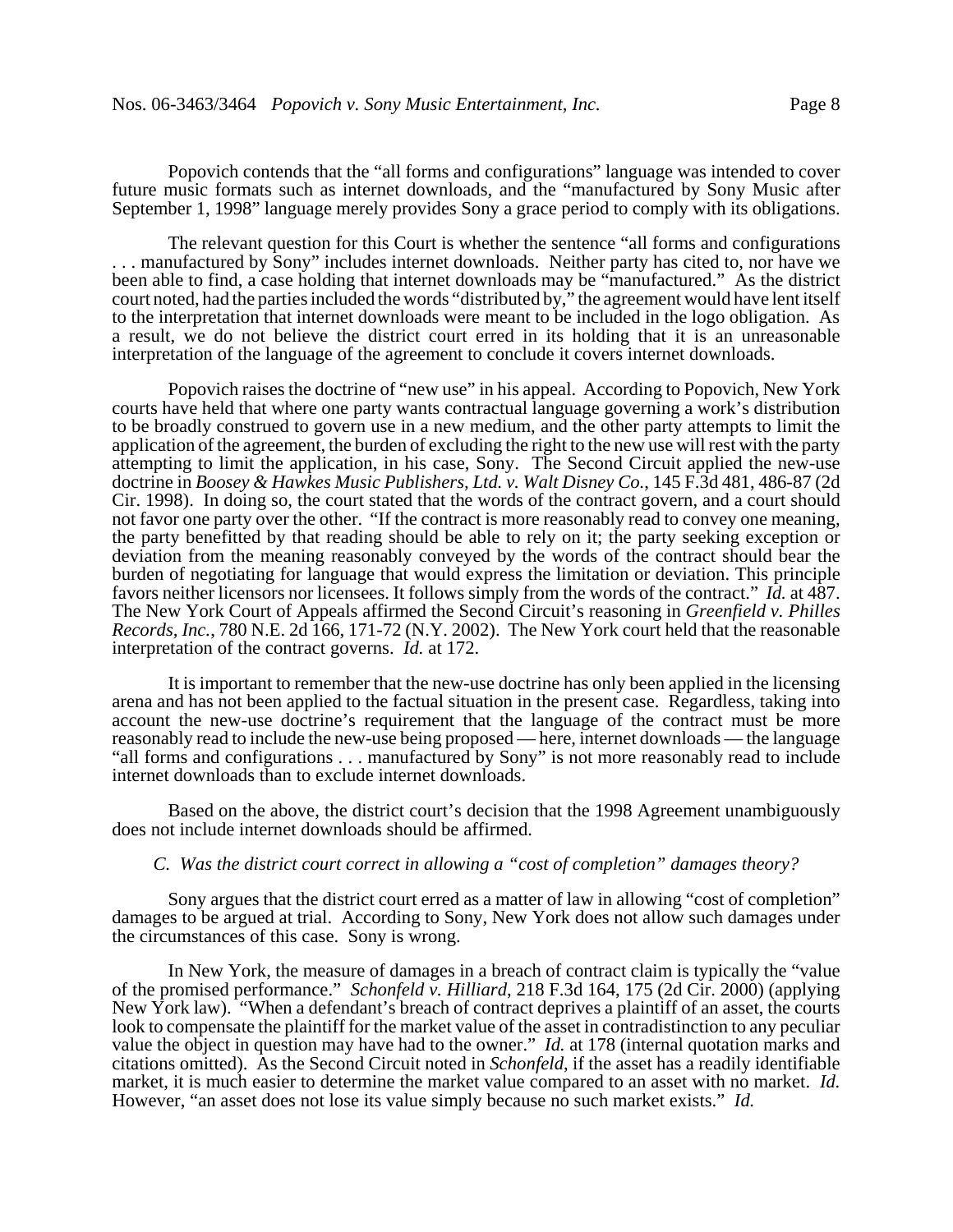Popovich contends that the "all forms and configurations" language was intended to cover future music formats such as internet downloads, and the "manufactured by Sony Music after September 1, 1998" language merely provides Sony a grace period to comply with its obligations.

The relevant question for this Court is whether the sentence "all forms and configurations . . . manufactured by Sony" includes internet downloads. Neither party has cited to, nor have we been able to find, a case holding that internet downloads may be "manufactured." As the district court noted, had the parties included the words "distributed by," the agreement would have lent itself to the interpretation that internet downloads were meant to be included in the logo obligation. As a result, we do not believe the district court erred in its holding that it is an unreasonable interpretation of the language of the agreement to conclude it covers internet downloads.

Popovich raises the doctrine of "new use" in his appeal. According to Popovich, New York courts have held that where one party wants contractual language governing a work's distribution to be broadly construed to govern use in a new medium, and the other party attempts to limit the application of the agreement, the burden of excluding the right to the new use will rest with the party attempting to limit the application, in his case, Sony. The Second Circuit applied the new-use doctrine in *Boosey & Hawkes Music Publishers, Ltd. v. Walt Disney Co.*, 145 F.3d 481, 486-87 (2d Cir. 1998). In doing so, the court stated that the words of the contract govern, and a court should not favor one party over the other. "If the contract is more reasonably read to convey one meaning, the party benefitted by that reading should be able to rely on it; the party seeking exception or deviation from the meaning reasonably conveyed by the words of the contract should bear the burden of negotiating for language that would express the limitation or deviation. This principle favors neither licensors nor licensees. It follows simply from the words of the contract." *Id.* at 487. The New York Court of Appeals affirmed the Second Circuit's reasoning in *Greenfield v. Philles Records, Inc.*, 780 N.E. 2d 166, 171-72 (N.Y. 2002). The New York court held that the reasonable interpretation of the contract governs. *Id.* at 172.

It is important to remember that the new-use doctrine has only been applied in the licensing arena and has not been applied to the factual situation in the present case. Regardless, taking into account the new-use doctrine's requirement that the language of the contract must be more reasonably read to include the new-use being proposed — here, internet downloads — the language "all forms and configurations . . . manufactured by Sony" is not more reasonably read to include internet downloads than to exclude internet downloads.

Based on the above, the district court's decision that the 1998 Agreement unambiguously does not include internet downloads should be affirmed.

# *C. Was the district court correct in allowing a "cost of completion" damages theory?*

Sony argues that the district court erred as a matter of law in allowing "cost of completion" damages to be argued at trial. According to Sony, New York does not allow such damages under the circumstances of this case. Sony is wrong.

In New York, the measure of damages in a breach of contract claim is typically the "value of the promised performance." *Schonfeld v. Hilliard*, 218 F.3d 164, 175 (2d Cir. 2000) (applying New York law). "When a defendant's breach of contract deprives a plaintiff of an asset, the courts look to compensate the plaintiff for the market value of the asset in contradistinction to any peculiar value the object in question may have had to the owner." *Id.* at 178 (internal quotation marks and citations omitted). As the Second Circuit noted in *Schonfeld*, if the asset has a readily identifiable market, it is much easier to determine the market value compared to an asset with no market. *Id.* However, "an asset does not lose its value simply because no such market exists." *Id.*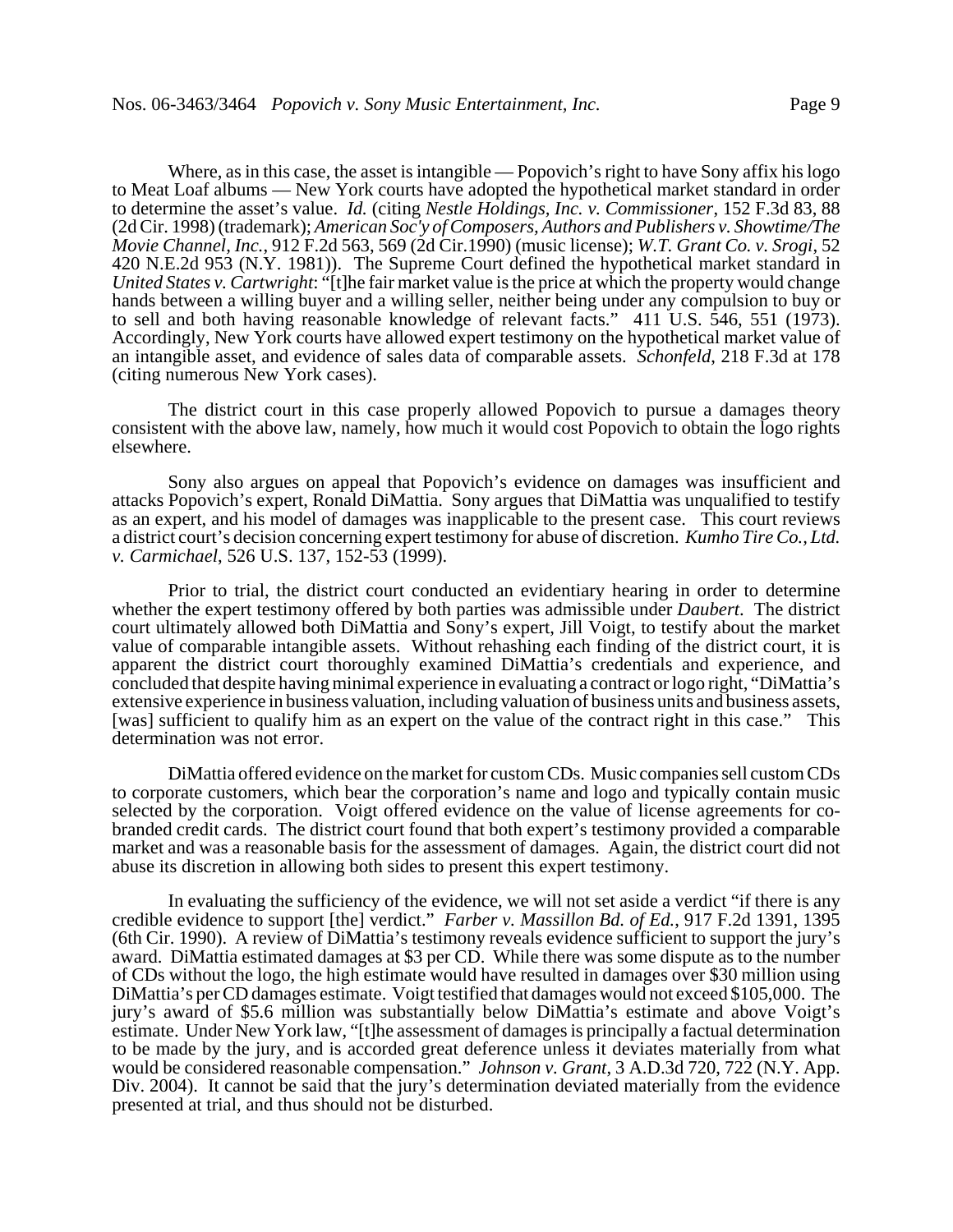Where, as in this case, the asset is intangible — Popovich's right to have Sony affix his logo to Meat Loaf albums — New York courts have adopted the hypothetical market standard in order to determine the asset's value. *Id.* (citing *Nestle Holdings, Inc. v. Commissioner*, 152 F.3d 83, 88 (2d Cir. 1998) (trademark); *American Soc'y of Composers, Authors and Publishers v. Showtime/The Movie Channel, Inc.*, 912 F.2d 563, 569 (2d Cir.1990) (music license); *W.T. Grant Co. v. Srogi*, 52 420 N.E.2d 953 (N.Y. 1981)). The Supreme Court defined the hypothetical market standard in *United States v. Cartwright*: "[t]he fair market value is the price at which the property would change hands between a willing buyer and a willing seller, neither being under any compulsion to buy or to sell and both having reasonable knowledge of relevant facts." 411 U.S. 546, 551 (1973). Accordingly, New York courts have allowed expert testimony on the hypothetical market value of an intangible asset, and evidence of sales data of comparable assets. *Schonfeld*, 218 F.3d at 178 (citing numerous New York cases).

The district court in this case properly allowed Popovich to pursue a damages theory consistent with the above law, namely, how much it would cost Popovich to obtain the logo rights elsewhere.

Sony also argues on appeal that Popovich's evidence on damages was insufficient and attacks Popovich's expert, Ronald DiMattia. Sony argues that DiMattia was unqualified to testify as an expert, and his model of damages was inapplicable to the present case. This court reviews a district court's decision concerning expert testimony for abuse of discretion. *Kumho Tire Co., Ltd. v. Carmichael*, 526 U.S. 137, 152-53 (1999).

Prior to trial, the district court conducted an evidentiary hearing in order to determine whether the expert testimony offered by both parties was admissible under *Daubert*. The district court ultimately allowed both DiMattia and Sony's expert, Jill Voigt, to testify about the market value of comparable intangible assets. Without rehashing each finding of the district court, it is apparent the district court thoroughly examined DiMattia's credentials and experience, and concluded that despite having minimal experience in evaluating a contract or logo right, "DiMattia's extensive experience in business valuation, including valuation of business units and business assets, [was] sufficient to qualify him as an expert on the value of the contract right in this case." This determination was not error.

DiMattia offered evidence on the market for custom CDs. Music companies sell custom CDs to corporate customers, which bear the corporation's name and logo and typically contain music selected by the corporation. Voigt offered evidence on the value of license agreements for cobranded credit cards. The district court found that both expert's testimony provided a comparable market and was a reasonable basis for the assessment of damages. Again, the district court did not abuse its discretion in allowing both sides to present this expert testimony.

In evaluating the sufficiency of the evidence, we will not set aside a verdict "if there is any credible evidence to support [the] verdict." *Farber v. Massillon Bd. of Ed.*, 917 F.2d 1391, 1395 (6th Cir. 1990). A review of DiMattia's testimony reveals evidence sufficient to support the jury's award. DiMattia estimated damages at \$3 per CD. While there was some dispute as to the number of CDs without the logo, the high estimate would have resulted in damages over \$30 million using DiMattia's per CD damages estimate. Voigt testified that damages would not exceed \$105,000. The jury's award of \$5.6 million was substantially below DiMattia's estimate and above Voigt's estimate. Under New York law, "[t]he assessment of damages is principally a factual determination to be made by the jury, and is accorded great deference unless it deviates materially from what would be considered reasonable compensation." *Johnson v. Grant*, 3 A.D.3d 720, 722 (N.Y. App. Div. 2004). It cannot be said that the jury's determination deviated materially from the evidence presented at trial, and thus should not be disturbed.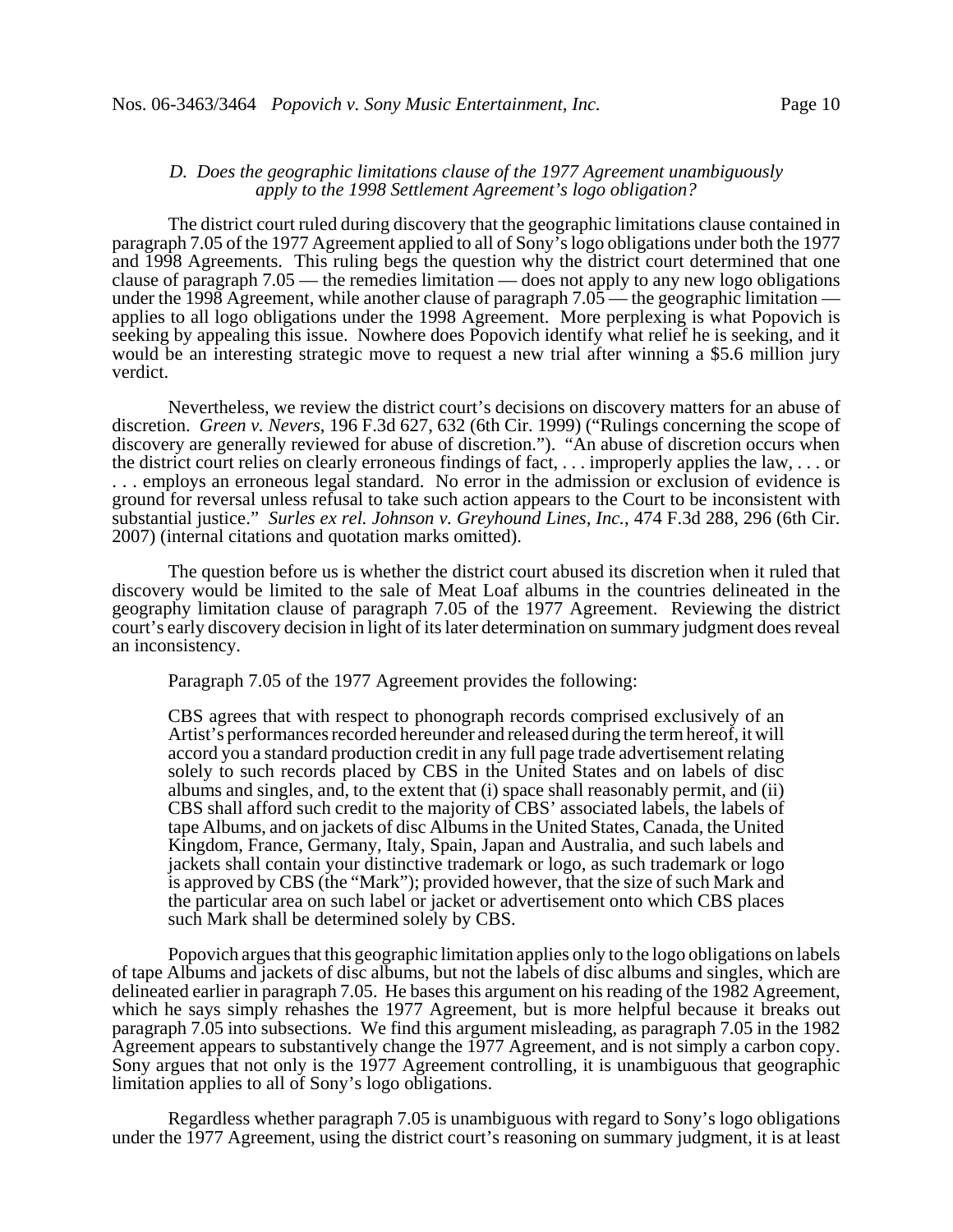### *D. Does the geographic limitations clause of the 1977 Agreement unambiguously apply to the 1998 Settlement Agreement's logo obligation?*

The district court ruled during discovery that the geographic limitations clause contained in paragraph 7.05 of the 1977 Agreement applied to all of Sony's logo obligations under both the 1977 and 1998 Agreements. This ruling begs the question why the district court determined that one clause of paragraph 7.05 — the remedies limitation — does not apply to any new logo obligations under the 1998 Agreement, while another clause of paragraph  $7.05$  — the geographic limitation applies to all logo obligations under the 1998 Agreement. More perplexing is what Popovich is seeking by appealing this issue. Nowhere does Popovich identify what relief he is seeking, and it would be an interesting strategic move to request a new trial after winning a \$5.6 million jury verdict.

Nevertheless, we review the district court's decisions on discovery matters for an abuse of discretion. *Green v. Nevers*, 196 F.3d 627, 632 (6th Cir. 1999) ("Rulings concerning the scope of discovery are generally reviewed for abuse of discretion."). "An abuse of discretion occurs when the district court relies on clearly erroneous findings of fact, . . . improperly applies the law, . . . or . . . employs an erroneous legal standard. No error in the admission or exclusion of evidence is ground for reversal unless refusal to take such action appears to the Court to be inconsistent with substantial justice." *Surles ex rel. Johnson v. Greyhound Lines, Inc.*, 474 F.3d 288, 296 (6th Cir. 2007) (internal citations and quotation marks omitted).

The question before us is whether the district court abused its discretion when it ruled that discovery would be limited to the sale of Meat Loaf albums in the countries delineated in the geography limitation clause of paragraph 7.05 of the 1977 Agreement. Reviewing the district court's early discovery decision in light of its later determination on summary judgment does reveal an inconsistency.

Paragraph 7.05 of the 1977 Agreement provides the following:

CBS agrees that with respect to phonograph records comprised exclusively of an Artist's performances recorded hereunder and released during the term hereof, it will accord you a standard production credit in any full page trade advertisement relating solely to such records placed by CBS in the United States and on labels of disc albums and singles, and, to the extent that (i) space shall reasonably permit, and (ii) CBS shall afford such credit to the majority of CBS' associated labels, the labels of tape Albums, and on jackets of disc Albums in the United States, Canada, the United Kingdom, France, Germany, Italy, Spain, Japan and Australia, and such labels and jackets shall contain your distinctive trademark or logo, as such trademark or logo is approved by CBS (the "Mark"); provided however, that the size of such Mark and the particular area on such label or jacket or advertisement onto which CBS places such Mark shall be determined solely by CBS.

Popovich argues that this geographic limitation applies only to the logo obligations on labels of tape Albums and jackets of disc albums, but not the labels of disc albums and singles, which are delineated earlier in paragraph 7.05. He bases this argument on his reading of the 1982 Agreement, which he says simply rehashes the 1977 Agreement, but is more helpful because it breaks out paragraph 7.05 into subsections. We find this argument misleading, as paragraph 7.05 in the 1982 Agreement appears to substantively change the 1977 Agreement, and is not simply a carbon copy. Sony argues that not only is the 1977 Agreement controlling, it is unambiguous that geographic limitation applies to all of Sony's logo obligations.

Regardless whether paragraph 7.05 is unambiguous with regard to Sony's logo obligations under the 1977 Agreement, using the district court's reasoning on summary judgment, it is at least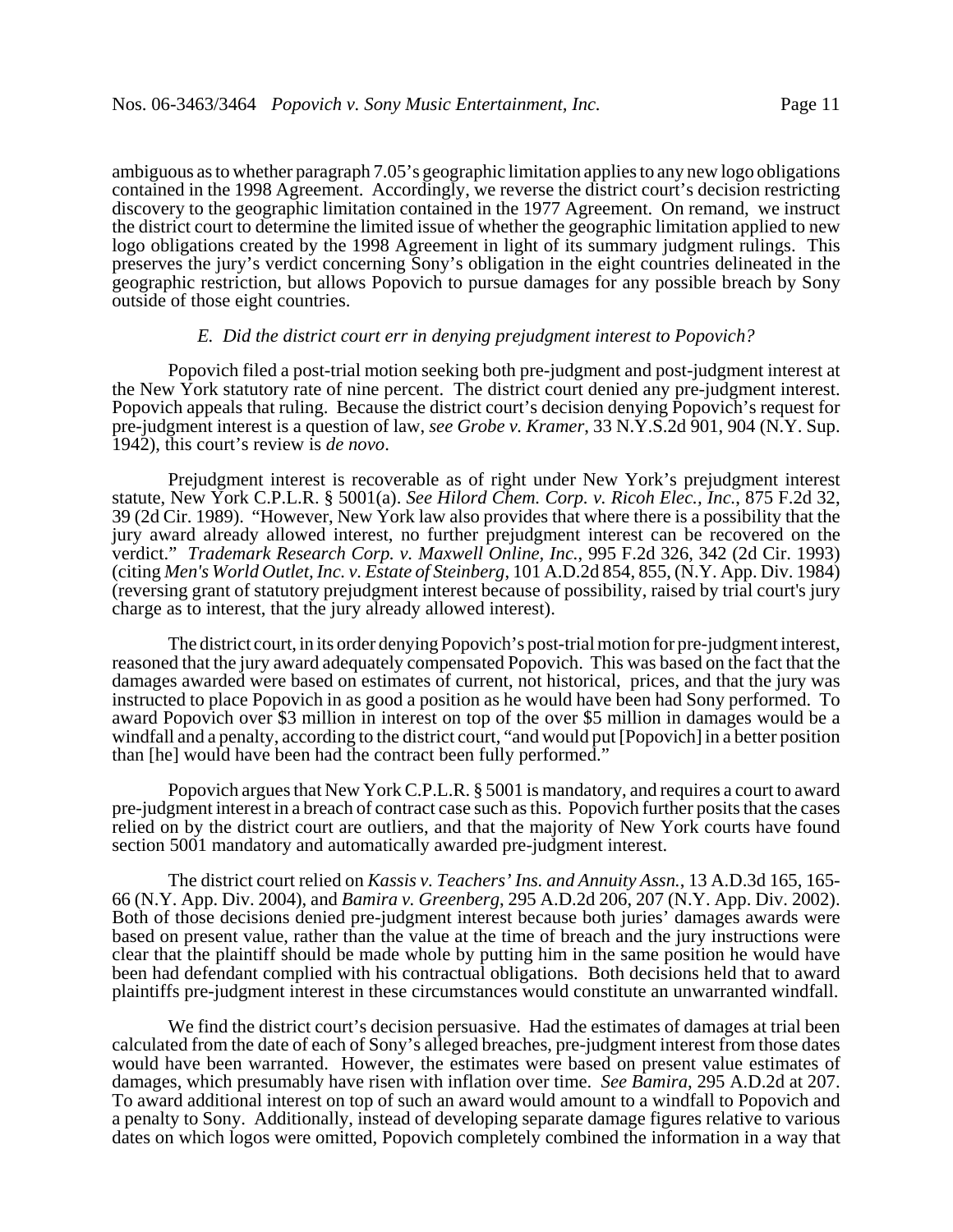ambiguous as to whether paragraph 7.05's geographic limitation applies to any new logo obligations contained in the 1998 Agreement. Accordingly, we reverse the district court's decision restricting discovery to the geographic limitation contained in the 1977 Agreement. On remand, we instruct the district court to determine the limited issue of whether the geographic limitation applied to new logo obligations created by the 1998 Agreement in light of its summary judgment rulings. This preserves the jury's verdict concerning Sony's obligation in the eight countries delineated in the geographic restriction, but allows Popovich to pursue damages for any possible breach by Sony outside of those eight countries.

### *E. Did the district court err in denying prejudgment interest to Popovich?*

Popovich filed a post-trial motion seeking both pre-judgment and post-judgment interest at the New York statutory rate of nine percent. The district court denied any pre-judgment interest. Popovich appeals that ruling. Because the district court's decision denying Popovich's request for pre-judgment interest is a question of law, *see Grobe v. Kramer*, 33 N.Y.S.2d 901, 904 (N.Y. Sup. 1942), this court's review is *de novo*.

Prejudgment interest is recoverable as of right under New York's prejudgment interest statute, New York C.P.L.R. § 5001(a). *See Hilord Chem. Corp. v. Ricoh Elec., Inc.*, 875 F.2d 32, 39 (2d Cir. 1989). "However, New York law also provides that where there is a possibility that the jury award already allowed interest, no further prejudgment interest can be recovered on the verdict." *Trademark Research Corp. v. Maxwell Online, Inc.*, 995 F.2d 326, 342 (2d Cir. 1993) (citing *Men's World Outlet, Inc. v. Estate of Steinberg*, 101 A.D.2d 854, 855, (N.Y. App. Div. 1984) (reversing grant of statutory prejudgment interest because of possibility, raised by trial court's jury charge as to interest, that the jury already allowed interest).

The district court, in its order denying Popovich's post-trial motion for pre-judgment interest, reasoned that the jury award adequately compensated Popovich. This was based on the fact that the damages awarded were based on estimates of current, not historical, prices, and that the jury was instructed to place Popovich in as good a position as he would have been had Sony performed. To award Popovich over \$3 million in interest on top of the over \$5 million in damages would be a windfall and a penalty, according to the district court, "and would put [Popovich] in a better position than [he] would have been had the contract been fully performed."

Popovich argues that New York C.P.L.R. § 5001 is mandatory, and requires a court to award pre-judgment interest in a breach of contract case such as this. Popovich further posits that the cases relied on by the district court are outliers, and that the majority of New York courts have found section 5001 mandatory and automatically awarded pre-judgment interest.

The district court relied on *Kassis v. Teachers' Ins. and Annuity Assn.*, 13 A.D.3d 165, 165- 66 (N.Y. App. Div. 2004), and *Bamira v. Greenberg*, 295 A.D.2d 206, 207 (N.Y. App. Div. 2002). Both of those decisions denied pre-judgment interest because both juries' damages awards were based on present value, rather than the value at the time of breach and the jury instructions were clear that the plaintiff should be made whole by putting him in the same position he would have been had defendant complied with his contractual obligations. Both decisions held that to award plaintiffs pre-judgment interest in these circumstances would constitute an unwarranted windfall.

We find the district court's decision persuasive. Had the estimates of damages at trial been calculated from the date of each of Sony's alleged breaches, pre-judgment interest from those dates would have been warranted. However, the estimates were based on present value estimates of damages, which presumably have risen with inflation over time. *See Bamira*, 295 A.D.2d at 207. To award additional interest on top of such an award would amount to a windfall to Popovich and a penalty to Sony. Additionally, instead of developing separate damage figures relative to various dates on which logos were omitted, Popovich completely combined the information in a way that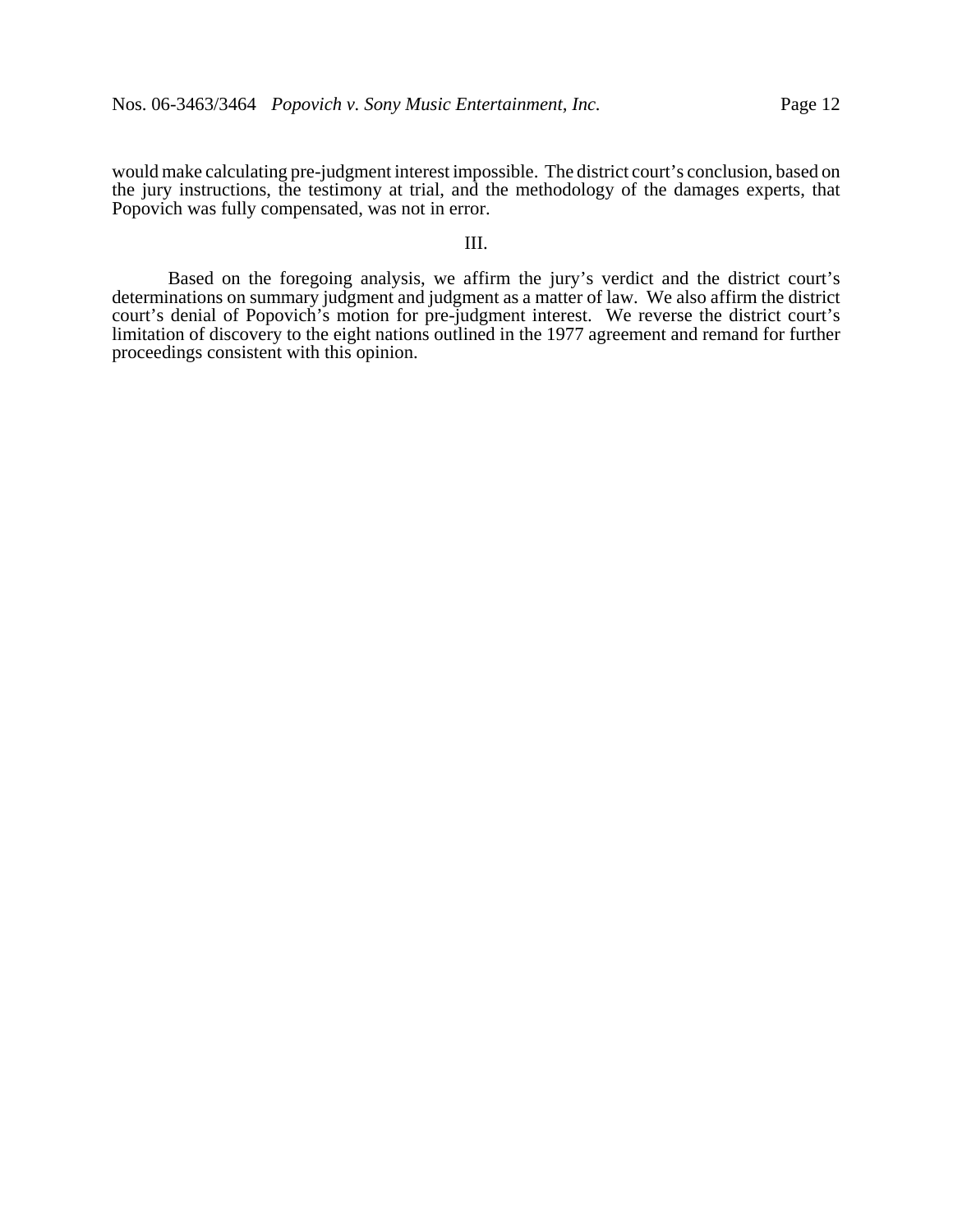would make calculating pre-judgment interest impossible. The district court's conclusion, based on the jury instructions, the testimony at trial, and the methodology of the damages experts, that Popovich was fully compensated, was not in error.

# III.

Based on the foregoing analysis, we affirm the jury's verdict and the district court's determinations on summary judgment and judgment as a matter of law. We also affirm the district court's denial of Popovich's motion for pre-judgment interest. We reverse the district court's limitation of discovery to the eight nations outlined in the 1977 agreement and remand for further proceedings consistent with this opinion.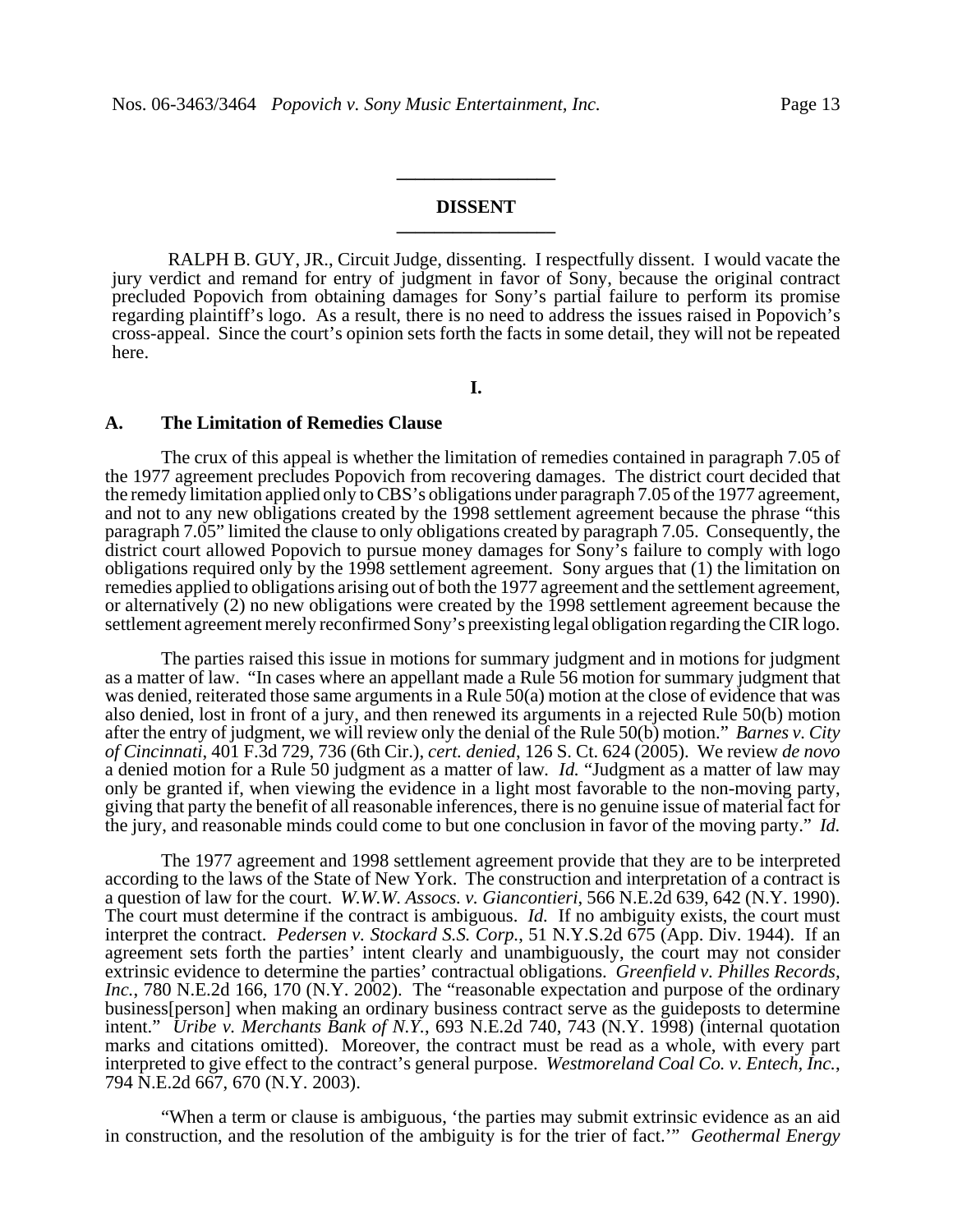# **DISSENT \_\_\_\_\_\_\_\_\_\_\_\_\_\_\_\_\_**

**\_\_\_\_\_\_\_\_\_\_\_\_\_\_\_\_\_**

RALPH B. GUY, JR., Circuit Judge, dissenting. I respectfully dissent. I would vacate the jury verdict and remand for entry of judgment in favor of Sony, because the original contract precluded Popovich from obtaining damages for Sony's partial failure to perform its promise regarding plaintiff's logo. As a result, there is no need to address the issues raised in Popovich's cross-appeal. Since the court's opinion sets forth the facts in some detail, they will not be repeated here.

**I.**

#### **A. The Limitation of Remedies Clause**

The crux of this appeal is whether the limitation of remedies contained in paragraph 7.05 of the 1977 agreement precludes Popovich from recovering damages. The district court decided that the remedy limitation applied only to CBS's obligations under paragraph 7.05 of the 1977 agreement, and not to any new obligations created by the 1998 settlement agreement because the phrase "this paragraph 7.05" limited the clause to only obligations created by paragraph 7.05. Consequently, the district court allowed Popovich to pursue money damages for Sony's failure to comply with logo obligations required only by the 1998 settlement agreement. Sony argues that (1) the limitation on remedies applied to obligations arising out of both the 1977 agreement and the settlement agreement, or alternatively (2) no new obligations were created by the 1998 settlement agreement because the settlement agreement merely reconfirmed Sony's preexisting legal obligation regarding the CIR logo.

The parties raised this issue in motions for summary judgment and in motions for judgment as a matter of law. "In cases where an appellant made a Rule 56 motion for summary judgment that was denied, reiterated those same arguments in a Rule 50(a) motion at the close of evidence that was also denied, lost in front of a jury, and then renewed its arguments in a rejected Rule 50(b) motion after the entry of judgment, we will review only the denial of the Rule 50(b) motion." *Barnes v. City of Cincinnati*, 401 F.3d 729, 736 (6th Cir.), *cert. denied*, 126 S. Ct. 624 (2005). We review *de novo* a denied motion for a Rule 50 judgment as a matter of law*. Id.* "Judgment as a matter of law may only be granted if, when viewing the evidence in a light most favorable to the non-moving party, giving that party the benefit of all reasonable inferences, there is no genuine issue of material fact for the jury, and reasonable minds could come to but one conclusion in favor of the moving party." *Id.*

The 1977 agreement and 1998 settlement agreement provide that they are to be interpreted according to the laws of the State of New York. The construction and interpretation of a contract is a question of law for the court. *W.W.W. Assocs. v. Giancontieri*, 566 N.E.2d 639, 642 (N.Y. 1990). The court must determine if the contract is ambiguous. *Id.* If no ambiguity exists, the court must interpret the contract. *Pedersen v. Stockard S.S. Corp.*, 51 N.Y.S.2d 675 (App. Div. 1944). If an agreement sets forth the parties' intent clearly and unambiguously, the court may not consider extrinsic evidence to determine the parties' contractual obligations. *Greenfield v. Philles Records, Inc.*, 780 N.E.2d 166, 170 (N.Y. 2002). The "reasonable expectation and purpose of the ordinary business[person] when making an ordinary business contract serve as the guideposts to determine intent." *Uribe v. Merchants Bank of N.Y.*, 693 N.E.2d 740, 743 (N.Y. 1998) (internal quotation marks and citations omitted). Moreover, the contract must be read as a whole, with every part interpreted to give effect to the contract's general purpose. *Westmoreland Coal Co. v. Entech, Inc.*, 794 N.E.2d 667, 670 (N.Y. 2003).

"When a term or clause is ambiguous, 'the parties may submit extrinsic evidence as an aid in construction, and the resolution of the ambiguity is for the trier of fact.'" *Geothermal Energy*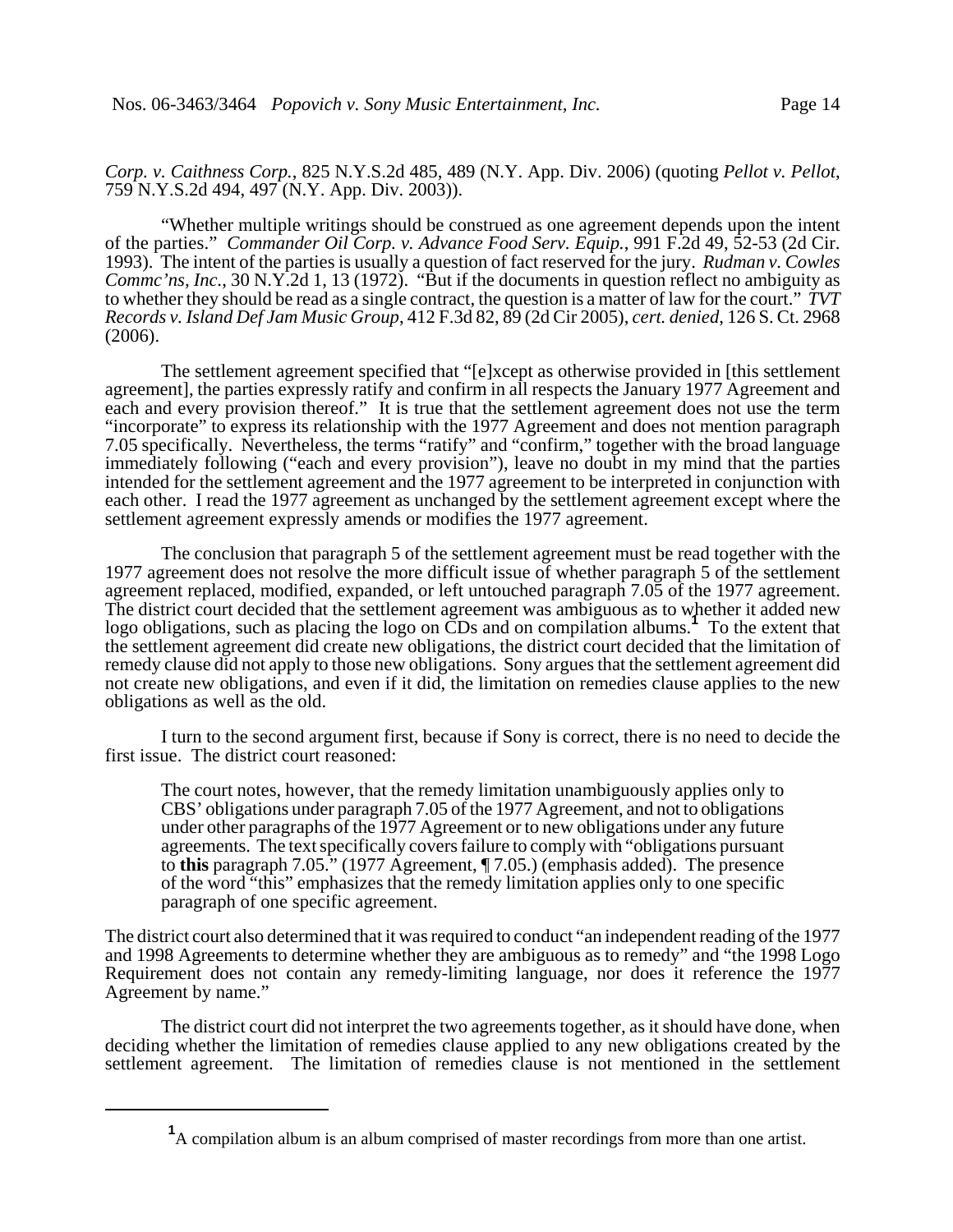*Corp. v. Caithness Corp.*, 825 N.Y.S.2d 485, 489 (N.Y. App. Div. 2006) (quoting *Pellot v. Pellot*, 759 N.Y.S.2d 494, 497 (N.Y. App. Div. 2003)).

"Whether multiple writings should be construed as one agreement depends upon the intent of the parties." *Commander Oil Corp. v. Advance Food Serv. Equip.*, 991 F.2d 49, 52-53 (2d Cir. 1993). The intent of the parties is usually a question of fact reserved for the jury. *Rudman v. Cowles Commc'ns, Inc.*, 30 N.Y.2d 1, 13 (1972). "But if the documents in question reflect no ambiguity as to whether they should be read as a single contract, the question is a matter of law for the court." *TVT Records v. Island Def Jam Music Group*, 412 F.3d 82, 89 (2d Cir 2005), *cert. denied*, 126 S. Ct. 2968 (2006).

The settlement agreement specified that "[e]xcept as otherwise provided in [this settlement agreement], the parties expressly ratify and confirm in all respects the January 1977 Agreement and each and every provision thereof." It is true that the settlement agreement does not use the term "incorporate" to express its relationship with the 1977 Agreement and does not mention paragraph 7.05 specifically. Nevertheless, the terms "ratify" and "confirm," together with the broad language immediately following ("each and every provision"), leave no doubt in my mind that the parties intended for the settlement agreement and the 1977 agreement to be interpreted in conjunction with each other. I read the 1977 agreement as unchanged by the settlement agreement except where the settlement agreement expressly amends or modifies the 1977 agreement.

The conclusion that paragraph 5 of the settlement agreement must be read together with the 1977 agreement does not resolve the more difficult issue of whether paragraph 5 of the settlement agreement replaced, modified, expanded, or left untouched paragraph 7.05 of the 1977 agreement. The district court decided that the settlement agreement was ambiguous as to whether it added new logo obligations, such as placing the logo on CDs and on compilation albums.<sup>1</sup> To the extent that the settlement agreement did create new obligations, the district court decided that the limitation of remedy clause did not apply to those new obligations. Sony argues that the settlement agreement did not create new obligations, and even if it did, the limitation on remedies clause applies to the new obligations as well as the old.

I turn to the second argument first, because if Sony is correct, there is no need to decide the first issue. The district court reasoned:

The court notes, however, that the remedy limitation unambiguously applies only to CBS' obligations under paragraph 7.05 of the 1977 Agreement, and not to obligations under other paragraphs of the 1977 Agreement or to new obligations under any future agreements. The text specifically covers failure to comply with "obligations pursuant to **this** paragraph 7.05." (1977 Agreement, ¶ 7.05.) (emphasis added). The presence of the word "this" emphasizes that the remedy limitation applies only to one specific paragraph of one specific agreement.

The district court also determined that it was required to conduct "an independent reading of the 1977 and 1998 Agreements to determine whether they are ambiguous as to remedy" and "the 1998 Logo Requirement does not contain any remedy-limiting language, nor does it reference the 1977 Agreement by name."

The district court did not interpret the two agreements together, as it should have done, when deciding whether the limitation of remedies clause applied to any new obligations created by the settlement agreement. The limitation of remedies clause is not mentioned in the settlement

<sup>&</sup>lt;sup>1</sup>A compilation album is an album comprised of master recordings from more than one artist.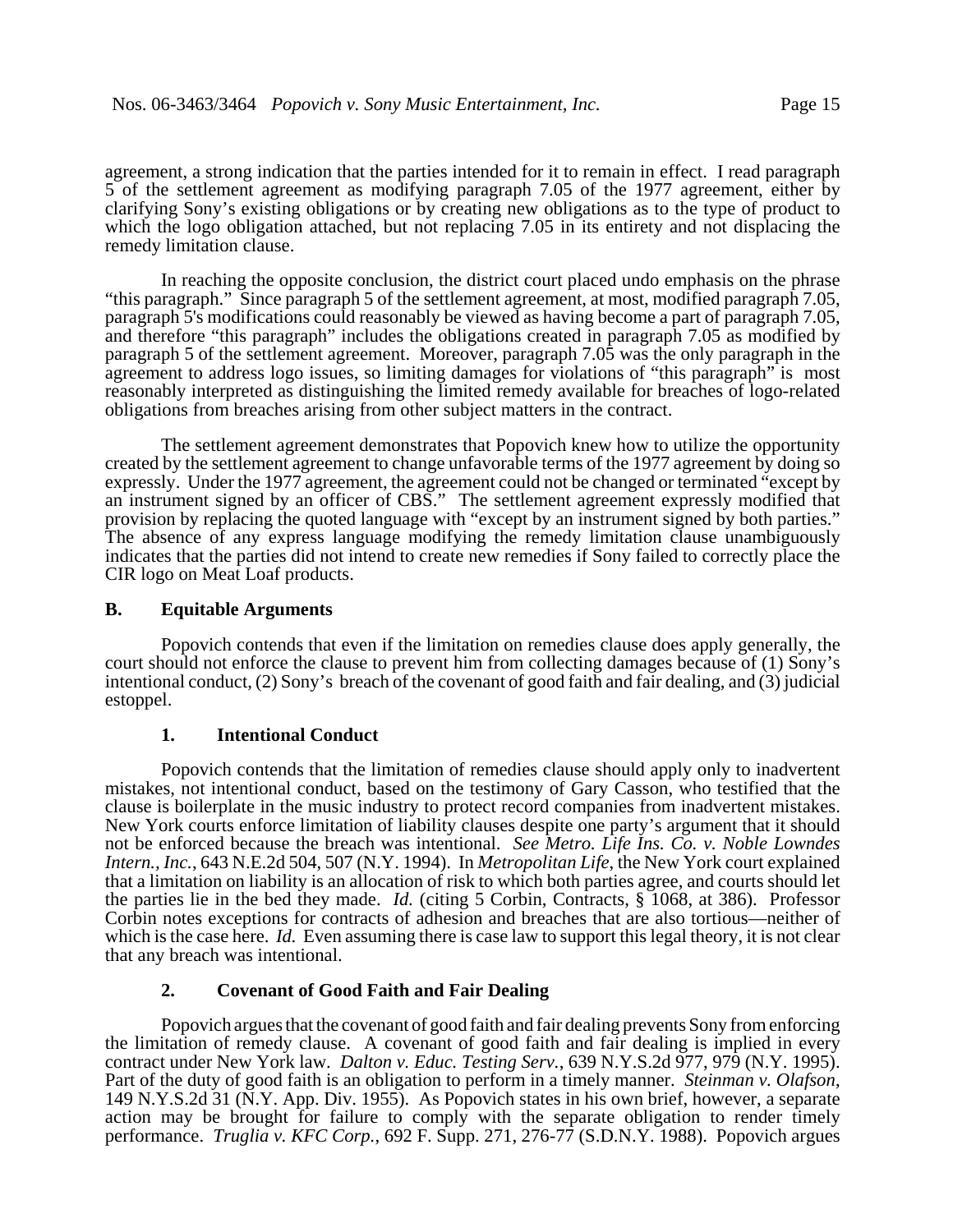agreement, a strong indication that the parties intended for it to remain in effect. I read paragraph 5 of the settlement agreement as modifying paragraph 7.05 of the 1977 agreement, either by clarifying Sony's existing obligations or by creating new obligations as to the type of product to which the logo obligation attached, but not replacing 7.05 in its entirety and not displacing the remedy limitation clause.

In reaching the opposite conclusion, the district court placed undo emphasis on the phrase "this paragraph." Since paragraph 5 of the settlement agreement, at most, modified paragraph 7.05, paragraph 5's modifications could reasonably be viewed as having become a part of paragraph 7.05, and therefore "this paragraph" includes the obligations created in paragraph 7.05 as modified by paragraph 5 of the settlement agreement. Moreover, paragraph 7.05 was the only paragraph in the agreement to address logo issues, so limiting damages for violations of "this paragraph" is most reasonably interpreted as distinguishing the limited remedy available for breaches of logo-related obligations from breaches arising from other subject matters in the contract.

The settlement agreement demonstrates that Popovich knew how to utilize the opportunity created by the settlement agreement to change unfavorable terms of the 1977 agreement by doing so expressly. Under the 1977 agreement, the agreement could not be changed or terminated "except by an instrument signed by an officer of CBS." The settlement agreement expressly modified that provision by replacing the quoted language with "except by an instrument signed by both parties." The absence of any express language modifying the remedy limitation clause unambiguously indicates that the parties did not intend to create new remedies if Sony failed to correctly place the CIR logo on Meat Loaf products.

# **B. Equitable Arguments**

Popovich contends that even if the limitation on remedies clause does apply generally, the court should not enforce the clause to prevent him from collecting damages because of (1) Sony's intentional conduct, (2) Sony's breach of the covenant of good faith and fair dealing, and (3) judicial estoppel.

# **1. Intentional Conduct**

Popovich contends that the limitation of remedies clause should apply only to inadvertent mistakes, not intentional conduct, based on the testimony of Gary Casson, who testified that the clause is boilerplate in the music industry to protect record companies from inadvertent mistakes. New York courts enforce limitation of liability clauses despite one party's argument that it should not be enforced because the breach was intentional. *See Metro. Life Ins. Co. v. Noble Lowndes Intern., Inc.*, 643 N.E.2d 504, 507 (N.Y. 1994). In *Metropolitan Life*, the New York court explained that a limitation on liability is an allocation of risk to which both parties agree, and courts should let the parties lie in the bed they made. *Id.* (citing 5 Corbin, Contracts, § 1068, at 386). Professor Corbin notes exceptions for contracts of adhesion and breaches that are also tortious—neither of which is the case here. *Id.* Even assuming there is case law to support this legal theory, it is not clear that any breach was intentional.

### **2. Covenant of Good Faith and Fair Dealing**

Popovich argues that the covenant of good faith and fair dealing prevents Sony from enforcing the limitation of remedy clause. A covenant of good faith and fair dealing is implied in every contract under New York law. *Dalton v. Educ. Testing Serv.*, 639 N.Y.S.2d 977, 979 (N.Y. 1995). Part of the duty of good faith is an obligation to perform in a timely manner. *Steinman v. Olafson*, 149 N.Y.S.2d 31 (N.Y. App. Div. 1955). As Popovich states in his own brief, however, a separate action may be brought for failure to comply with the separate obligation to render timely performance. *Truglia v. KFC Corp.*, 692 F. Supp. 271, 276-77 (S.D.N.Y. 1988). Popovich argues